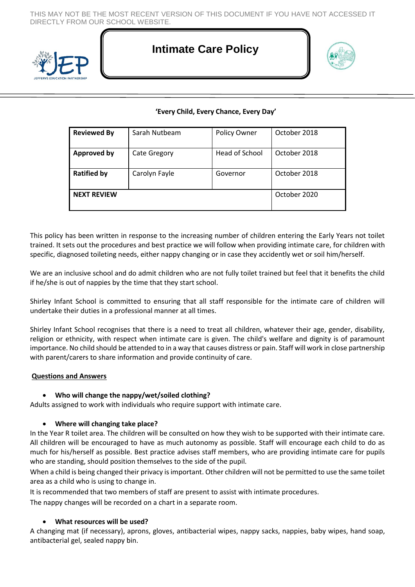THIS MAY NOT BE THE MOST RECENT VERSION OF THIS DOCUMENT IF YOU HAVE NOT ACCESSED IT DIRECTLY FROM OUR SCHOOL WEBSITE.



# **Intimate Care Policy**



# **'Every Child, Every Chance, Every Day'**

| <b>Reviewed By</b> | Sarah Nutbeam       | Policy Owner   | October 2018 |
|--------------------|---------------------|----------------|--------------|
| <b>Approved by</b> | <b>Cate Gregory</b> | Head of School | October 2018 |
| <b>Ratified by</b> | Carolyn Fayle       | Governor       | October 2018 |
| <b>NEXT REVIEW</b> |                     |                | October 2020 |

This policy has been written in response to the increasing number of children entering the Early Years not toilet trained. It sets out the procedures and best practice we will follow when providing intimate care, for children with specific, diagnosed toileting needs, either nappy changing or in case they accidently wet or soil him/herself.

We are an inclusive school and do admit children who are not fully toilet trained but feel that it benefits the child if he/she is out of nappies by the time that they start school.

Shirley Infant School is committed to ensuring that all staff responsible for the intimate care of children will undertake their duties in a professional manner at all times.

Shirley Infant School recognises that there is a need to treat all children, whatever their age, gender, disability, religion or ethnicity, with respect when intimate care is given. The child's welfare and dignity is of paramount importance. No child should be attended to in a way that causes distress or pain. Staff will work in close partnership with parent/carers to share information and provide continuity of care.

#### **Questions and Answers**

#### **Who will change the nappy/wet/soiled clothing?**

Adults assigned to work with individuals who require support with intimate care.

#### **Where will changing take place?**

In the Year R toilet area. The children will be consulted on how they wish to be supported with their intimate care. All children will be encouraged to have as much autonomy as possible. Staff will encourage each child to do as much for his/herself as possible. Best practice advises staff members, who are providing intimate care for pupils who are standing, should position themselves to the side of the pupil.

When a child is being changed their privacy is important. Other children will not be permitted to use the same toilet area as a child who is using to change in.

It is recommended that two members of staff are present to assist with intimate procedures.

The nappy changes will be recorded on a chart in a separate room.

#### **What resources will be used?**

A changing mat (if necessary), aprons, gloves, antibacterial wipes, nappy sacks, nappies, baby wipes, hand soap, antibacterial gel, sealed nappy bin.